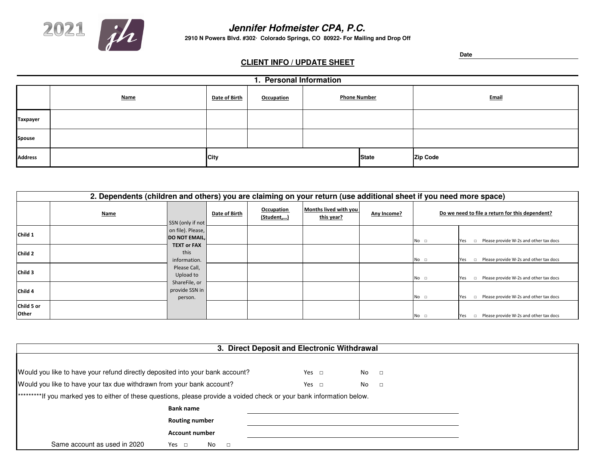

## **Jennifer Hofmeister CPA, P.C.**

**2910 N Powers Blvd. #302∙ Colorado Springs, CO 80922- For Mailing and Drop Off**

## **CLIENT INFO / UPDATE SHEET**

**Date**

|                 | 1. Personal Information |               |                   |                     |              |              |  |  |  |  |  |
|-----------------|-------------------------|---------------|-------------------|---------------------|--------------|--------------|--|--|--|--|--|
|                 | <b>Name</b>             | Date of Birth | <b>Occupation</b> | <b>Phone Number</b> |              | <b>Email</b> |  |  |  |  |  |
| <b>Taxpayer</b> |                         |               |                   |                     |              |              |  |  |  |  |  |
| <b>Spouse</b>   |                         |               |                   |                     |              |              |  |  |  |  |  |
| <b>Address</b>  |                         | <b>City</b>   |                   |                     | <b>State</b> | Zip Code     |  |  |  |  |  |

|                     | 2. Dependents (children and others) you are claiming on your return (use additional sheet if you need more space) |                                            |               |                          |                                     |             |                                                 |                                                         |  |  |  |  |
|---------------------|-------------------------------------------------------------------------------------------------------------------|--------------------------------------------|---------------|--------------------------|-------------------------------------|-------------|-------------------------------------------------|---------------------------------------------------------|--|--|--|--|
|                     | <b>Name</b>                                                                                                       | SSN (only if not                           | Date of Birth | Occupation<br>(Student,) | Months lived with you<br>this year? | Any Income? | Do we need to file a return for this dependent? |                                                         |  |  |  |  |
| Child 1             |                                                                                                                   | on file). Please,<br><b>DO NOT EMAIL,</b>  |               |                          |                                     |             | $No$ $\Box$                                     | Please provide W-2s and other tax docs<br>Yes<br>$\Box$ |  |  |  |  |
| Child 2             |                                                                                                                   | <b>TEXT or FAX</b><br>this<br>information. |               |                          |                                     |             | $No$ $\Box$                                     | $\Box$ Please provide W-2s and other tax docs<br>Yes    |  |  |  |  |
| Child 3             |                                                                                                                   | Please Call,<br>Upload to                  |               |                          |                                     |             | No <sub>1</sub>                                 | $\Box$ Please provide W-2s and other tax docs<br>Yes    |  |  |  |  |
| Child <sub>4</sub>  |                                                                                                                   | ShareFile, or<br>provide SSN in<br>person. |               |                          |                                     |             | $No$ $\Box$                                     | $\Box$ Please provide W-2s and other tax docs<br>Yes    |  |  |  |  |
| Child 5 or<br>Other |                                                                                                                   |                                            |               |                          |                                     |             | $No$ $\Box$                                     | Please provide W-2s and other tax docs<br>Yes<br>$\Box$ |  |  |  |  |

| 3. Direct Deposit and Electronic Withdrawal                                                                             |                            |            |              |  |  |  |  |  |  |
|-------------------------------------------------------------------------------------------------------------------------|----------------------------|------------|--------------|--|--|--|--|--|--|
|                                                                                                                         |                            |            |              |  |  |  |  |  |  |
| Would you like to have your refund directly deposited into your bank account?                                           |                            | Yes $\Box$ | No<br>$\Box$ |  |  |  |  |  |  |
| Would you like to have your tax due withdrawn from your bank account?                                                   |                            | Yes $\Box$ | No<br>$\Box$ |  |  |  |  |  |  |
| **********If you marked yes to either of these questions, please provide a voided check or your bank information below. |                            |            |              |  |  |  |  |  |  |
|                                                                                                                         | <b>Bank name</b>           |            |              |  |  |  |  |  |  |
|                                                                                                                         | <b>Routing number</b>      |            |              |  |  |  |  |  |  |
|                                                                                                                         |                            |            |              |  |  |  |  |  |  |
| Same account as used in 2020                                                                                            | Yes $\Box$<br>No<br>$\Box$ |            |              |  |  |  |  |  |  |